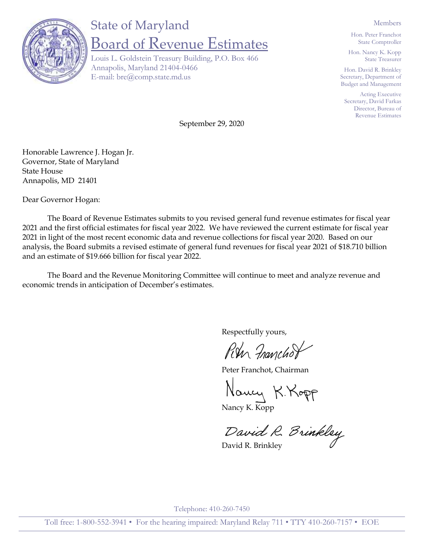

## State of Maryland Board of Revenue Estimates

Louis L. Goldstein Treasury Building, P.O. Box 466 Annapolis, Maryland 21404-0466 E-mail: bre@comp.state.md.us

Members

Hon. Peter Franchot State Comptroller

Hon. Nancy K. Kopp State Treasurer

Hon. David R. Brinkley Secretary, Department of Budget and Management

Acting Executive Secretary, David Farkas Director, Bureau of Revenue Estimates

September 29, 2020

Honorable Lawrence J. Hogan Jr. Governor, State of Maryland State House Annapolis, MD 21401

Dear Governor Hogan:

The Board of Revenue Estimates submits to you revised general fund revenue estimates for fiscal year 2021 and the first official estimates for fiscal year 2022. We have reviewed the current estimate for fiscal year 2021 in light of the most recent economic data and revenue collections for fiscal year 2020. Based on our analysis, the Board submits a revised estimate of general fund revenues for fiscal year 2021 of \$18.710 billion and an estimate of \$19.666 billion for fiscal year 2022.

The Board and the Revenue Monitoring Committee will continue to meet and analyze revenue and economic trends in anticipation of December's estimates.

Respectfully yours,

Run Franchof

Peter Franchot, Chairman

Nancy K. Kopp

Nancy K. Kopp

David R. Brinkley

Telephone: 410-260-7450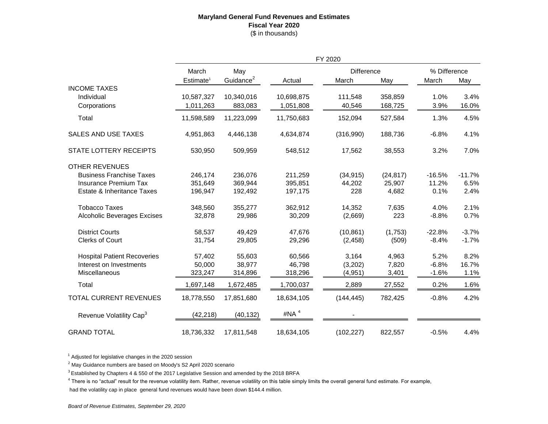## **Maryland General Fund Revenues and Estimates Fiscal Year 2020** (\$ in thousands)

|                                     | FY 2020                        |                              |            |                            |           |                       |          |  |
|-------------------------------------|--------------------------------|------------------------------|------------|----------------------------|-----------|-----------------------|----------|--|
|                                     | March<br>Estimate <sup>1</sup> | May<br>Guidance <sup>2</sup> | Actual     | <b>Difference</b><br>March | May       | % Difference<br>March | May      |  |
| <b>INCOME TAXES</b>                 |                                |                              |            |                            |           |                       |          |  |
| Individual                          | 10,587,327                     | 10,340,016                   | 10,698,875 | 111,548                    | 358,859   | 1.0%                  | 3.4%     |  |
| Corporations                        | 1,011,263                      | 883,083                      | 1,051,808  | 40,546                     | 168,725   | 3.9%                  | 16.0%    |  |
| Total                               | 11,598,589                     | 11,223,099                   | 11,750,683 | 152,094                    | 527,584   | 1.3%                  | 4.5%     |  |
| <b>SALES AND USE TAXES</b>          | 4,951,863                      | 4,446,138                    | 4,634,874  | (316,990)                  | 188,736   | $-6.8%$               | 4.1%     |  |
| <b>STATE LOTTERY RECEIPTS</b>       | 530,950                        | 509,959                      | 548,512    | 17,562                     | 38,553    | 3.2%                  | 7.0%     |  |
| <b>OTHER REVENUES</b>               |                                |                              |            |                            |           |                       |          |  |
| <b>Business Franchise Taxes</b>     | 246,174                        | 236,076                      | 211,259    | (34, 915)                  | (24, 817) | $-16.5%$              | $-11.7%$ |  |
| Insurance Premium Tax               | 351,649                        | 369,944                      | 395,851    | 44,202                     | 25,907    | 11.2%                 | 6.5%     |  |
| Estate & Inheritance Taxes          | 196,947                        | 192.492                      | 197,175    | 228                        | 4,682     | 0.1%                  | 2.4%     |  |
| <b>Tobacco Taxes</b>                | 348,560                        | 355,277                      | 362,912    | 14,352                     | 7,635     | 4.0%                  | 2.1%     |  |
| <b>Alcoholic Beverages Excises</b>  | 32,878                         | 29,986                       | 30,209     | (2,669)                    | 223       | $-8.8%$               | 0.7%     |  |
| <b>District Courts</b>              | 58,537                         | 49,429                       | 47,676     | (10, 861)                  | (1,753)   | $-22.8%$              | $-3.7%$  |  |
| <b>Clerks of Court</b>              | 31,754                         | 29,805                       | 29,296     | (2, 458)                   | (509)     | $-8.4%$               | $-1.7%$  |  |
| <b>Hospital Patient Recoveries</b>  | 57,402                         | 55,603                       | 60,566     | 3,164                      | 4,963     | 5.2%                  | 8.2%     |  |
| Interest on Investments             | 50,000                         | 38,977                       | 46,798     | (3,202)                    | 7,820     | $-6.8%$               | 16.7%    |  |
| Miscellaneous                       | 323,247                        | 314,896                      | 318,296    | (4, 951)                   | 3,401     | $-1.6%$               | 1.1%     |  |
| Total                               | 1,697,148                      | 1,672,485                    | 1,700,037  | 2,889                      | 27,552    | 0.2%                  | 1.6%     |  |
| TOTAL CURRENT REVENUES              | 18,778,550                     | 17,851,680                   | 18,634,105 | (144, 445)                 | 782,425   | $-0.8%$               | 4.2%     |  |
| Revenue Volatility Cap <sup>3</sup> | (42, 218)                      | (40, 132)                    | #NA $4$    |                            |           |                       |          |  |
| <b>GRAND TOTAL</b>                  | 18,736,332                     | 17,811,548                   | 18,634,105 | (102, 227)                 | 822,557   | $-0.5%$               | 4.4%     |  |

 $1$  Adjusted for legislative changes in the 2020 session

 $2$  May Guidance numbers are based on Moody's S2 April 2020 scenario

 $3$  Established by Chapters 4 & 550 of the 2017 Legislative Session and amended by the 2018 BRFA

 $^4$  There is no "actual" result for the revenue volatility item. Rather, revenue volatility on this table simply limits the overall general fund estimate. For example,

had the volatility cap in place general fund revenues would have been down \$144.4 million.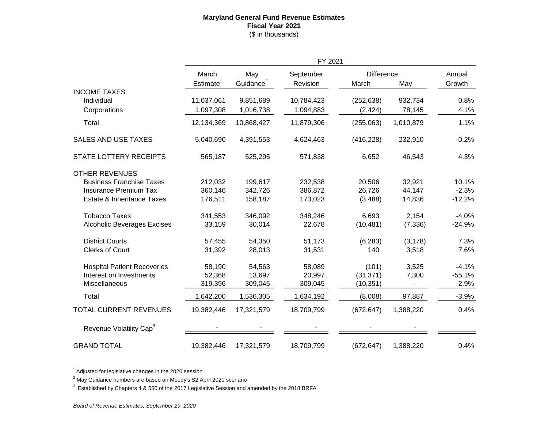## **Maryland General Fund Revenue Estimates Fiscal Year 2021** (\$ in thousands)

|                                     | FY 2021                        |                              |                       |                            |           |                  |
|-------------------------------------|--------------------------------|------------------------------|-----------------------|----------------------------|-----------|------------------|
|                                     | March<br>Estimate <sup>1</sup> | May<br>Guidance <sup>2</sup> | September<br>Revision | <b>Difference</b><br>March | May       | Annual<br>Growth |
| <b>INCOME TAXES</b>                 |                                |                              |                       |                            |           |                  |
| Individual                          | 11,037,061                     | 9,851,689                    | 10,784,423            | (252, 638)                 | 932,734   | 0.8%             |
| Corporations                        | 1,097,308                      | 1,016,738                    | 1,094,883             | (2, 424)                   | 78,145    | 4.1%             |
| Total                               | 12,134,369                     | 10,868,427                   | 11,879,306            | (255,063)                  | 1,010,879 | 1.1%             |
| <b>SALES AND USE TAXES</b>          | 5,040,690                      | 4,391,553                    | 4,624,463             | (416, 228)                 | 232,910   | $-0.2%$          |
| STATE LOTTERY RECEIPTS              | 565,187                        | 525,295                      | 571,838               | 6,652                      | 46,543    | 4.3%             |
| <b>OTHER REVENUES</b>               |                                |                              |                       |                            |           |                  |
| <b>Business Franchise Taxes</b>     | 212,032                        | 199,617                      | 232,538               | 20,506                     | 32,921    | 10.1%            |
| <b>Insurance Premium Tax</b>        | 360,146                        | 342,726                      | 386,872               | 26,726                     | 44,147    | $-2.3%$          |
| Estate & Inheritance Taxes          | 176,511                        | 158,187                      | 173,023               | (3,488)                    | 14,836    | $-12.2%$         |
| <b>Tobacco Taxes</b>                | 341,553                        | 346,092                      | 348,246               | 6,693                      | 2,154     | $-4.0%$          |
| <b>Alcoholic Beverages Excises</b>  | 33,159                         | 30,014                       | 22,678                | (10, 481)                  | (7, 336)  | $-24.9%$         |
| <b>District Courts</b>              | 57,455                         | 54,350                       | 51,173                | (6, 283)                   | (3, 178)  | 7.3%             |
| <b>Clerks of Court</b>              | 31,392                         | 28,013                       | 31,531                | 140                        | 3,518     | 7.6%             |
| <b>Hospital Patient Recoveries</b>  | 58,190                         | 54,563                       | 58,089                | (101)                      | 3,525     | $-4.1%$          |
| Interest on Investments             | 52,368                         | 13,697                       | 20,997                | (31, 371)                  | 7,300     | $-55.1%$         |
| Miscellaneous                       | 319,396                        | 309,045                      | 309,045               | (10, 351)                  |           | $-2.9%$          |
| Total                               | 1,642,200                      | 1,536,305                    | 1,634,192             | (8,008)                    | 97,887    | $-3.9%$          |
| <b>TOTAL CURRENT REVENUES</b>       | 19,382,446                     | 17,321,579                   | 18,709,799            | (672, 647)                 | 1,388,220 | 0.4%             |
| Revenue Volatility Cap <sup>3</sup> |                                |                              |                       |                            |           |                  |
| <b>GRAND TOTAL</b>                  | 19,382,446                     | 17,321,579                   | 18,709,799            | (672, 647)                 | 1,388,220 | 0.4%             |

 $1$  Adjusted for legislative changes in the 2020 session

 $2$  May Guidance numbers are based on Moody's S2 April 2020 scenario

<sup>3</sup> Established by Chapters 4 & 550 of the 2017 Legislative Session and amended by the 2018 BRFA